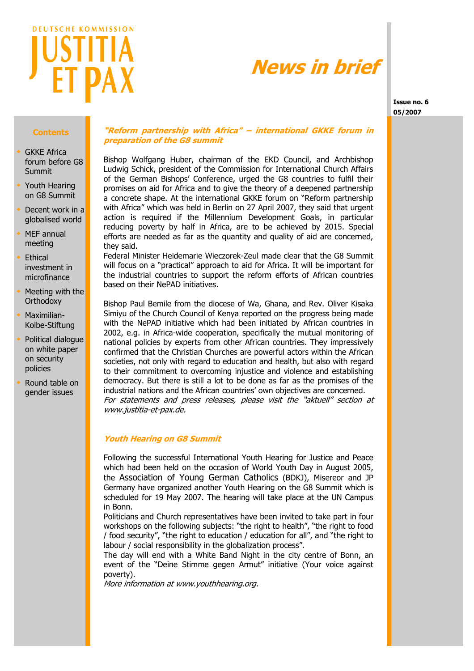

# **News in brief**

**Issue no. 6 05/2007**

## **Contents**

- GKKE Africa forum before G8 Summit
- Youth Hearing on G8 Summit
- Decent work in a globalised world
- MEF annual meeting
- Ethical investment in microfinance
- Meeting with the **Orthodoxy**
- Maximilian-Kolbe-Stiftung
- Political dialogue on white paper on security policies
- Round table on gender issues

# **"Reform partnership with Africa" – international GKKE forum in preparation of the G8 summit**

Bishop Wolfgang Huber, chairman of the EKD Council, and Archbishop Ludwig Schick, president of the Commission for International Church Affairs of the German Bishops' Conference, urged the G8 countries to fulfil their promises on aid for Africa and to give the theory of a deepened partnership a concrete shape. At the international GKKE forum on "Reform partnership with Africa" which was held in Berlin on 27 April 2007, they said that urgent action is required if the Millennium Development Goals, in particular reducing poverty by half in Africa, are to be achieved by 2015. Special efforts are needed as far as the quantity and quality of aid are concerned, they said.

Federal Minister Heidemarie Wieczorek-Zeul made clear that the G8 Summit will focus on a "practical" approach to aid for Africa. It will be important for the industrial countries to support the reform efforts of African countries based on their NePAD initiatives.

Bishop Paul Bemile from the diocese of Wa, Ghana, and Rev. Oliver Kisaka Simiyu of the Church Council of Kenya reported on the progress being made with the NePAD initiative which had been initiated by African countries in 2002, e.g. in Africa-wide cooperation, specifically the mutual monitoring of national policies by experts from other African countries. They impressively confirmed that the Christian Churches are powerful actors within the African societies, not only with regard to education and health, but also with regard to their commitment to overcoming injustice and violence and establishing democracy. But there is still a lot to be done as far as the promises of the industrial nations and the African countries' own objectives are concerned. For statements and press releases, please visit the "aktuell" section at www.justitia-et-pax.de.

## **Youth Hearing on G8 Summit**

Following the successful International Youth Hearing for Justice and Peace which had been held on the occasion of World Youth Day in August 2005, the Association of Young German Catholics (BDKJ), Misereor and JP Germany have organized another Youth Hearing on the G8 Summit which is scheduled for 19 May 2007. The hearing will take place at the UN Campus in Bonn.

Politicians and Church representatives have been invited to take part in four workshops on the following subjects: "the right to health", "the right to food / food security", "the right to education / education for all", and "the right to labour / social responsibility in the globalization process".

The day will end with a White Band Night in the city centre of Bonn, an event of the "Deine Stimme gegen Armut" initiative (Your voice against poverty).

More information at www.youthhearing.org.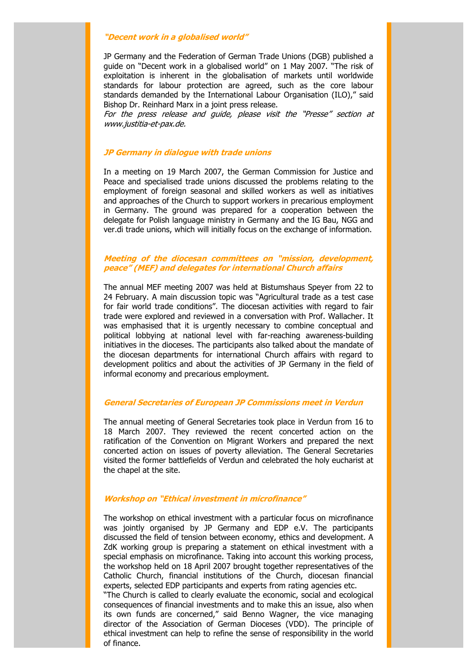#### **"Decent work in a globalised world"**

JP Germany and the Federation of German Trade Unions (DGB) published a guide on "Decent work in a globalised world" on 1 May 2007. "The risk of exploitation is inherent in the globalisation of markets until worldwide standards for labour protection are agreed, such as the core labour standards demanded by the International Labour Organisation (ILO)," said Bishop Dr. Reinhard Marx in a joint press release.

For the press release and guide, please visit the "Presse" section at www.justitia-et-pax.de.

# **JP Germany in dialogue with trade unions**

In a meeting on 19 March 2007, the German Commission for Justice and Peace and specialised trade unions discussed the problems relating to the employment of foreign seasonal and skilled workers as well as initiatives and approaches of the Church to support workers in precarious employment in Germany. The ground was prepared for a cooperation between the delegate for Polish language ministry in Germany and the IG Bau, NGG and ver.di trade unions, which will initially focus on the exchange of information.

# **Meeting of the diocesan committees on "mission, development, peace" (MEF) and delegates for international Church affairs**

The annual MEF meeting 2007 was held at Bistumshaus Speyer from 22 to 24 February. A main discussion topic was "Agricultural trade as a test case for fair world trade conditions". The diocesan activities with regard to fair trade were explored and reviewed in a conversation with Prof. Wallacher. It was emphasised that it is urgently necessary to combine conceptual and political lobbying at national level with far-reaching awareness-building initiatives in the dioceses. The participants also talked about the mandate of the diocesan departments for international Church affairs with regard to development politics and about the activities of JP Germany in the field of informal economy and precarious employment.

#### **General Secretaries of European JP Commissions meet in Verdun**

The annual meeting of General Secretaries took place in Verdun from 16 to 18 March 2007. They reviewed the recent concerted action on the ratification of the Convention on Migrant Workers and prepared the next concerted action on issues of poverty alleviation. The General Secretaries visited the former battlefields of Verdun and celebrated the holy eucharist at the chapel at the site.

#### **Workshop on "Ethical investment in microfinance"**

The workshop on ethical investment with a particular focus on microfinance was jointly organised by JP Germany and EDP e.V. The participants discussed the field of tension between economy, ethics and development. A ZdK working group is preparing a statement on ethical investment with a special emphasis on microfinance. Taking into account this working process, the workshop held on 18 April 2007 brought together representatives of the Catholic Church, financial institutions of the Church, diocesan financial experts, selected EDP participants and experts from rating agencies etc.

"The Church is called to clearly evaluate the economic, social and ecological consequences of financial investments and to make this an issue, also when its own funds are concerned," said Benno Wagner, the vice managing director of the Association of German Dioceses (VDD). The principle of ethical investment can help to refine the sense of responsibility in the world of finance.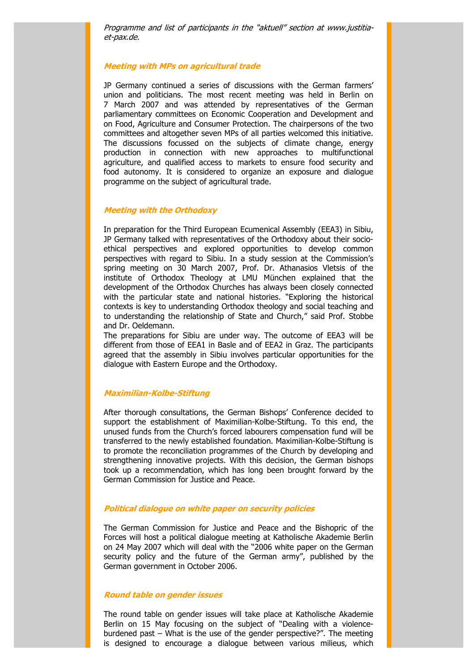Programme and list of participants in the "aktuell" section at www.justitiaet-pax.de.

#### **Meeting with MPs on agricultural trade**

JP Germany continued a series of discussions with the German farmers' union and politicians. The most recent meeting was held in Berlin on 7 March 2007 and was attended by representatives of the German parliamentary committees on Economic Cooperation and Development and on Food, Agriculture and Consumer Protection. The chairpersons of the two committees and altogether seven MPs of all parties welcomed this initiative. The discussions focussed on the subjects of climate change, energy production in connection with new approaches to multifunctional agriculture, and qualified access to markets to ensure food security and food autonomy. It is considered to organize an exposure and dialogue programme on the subject of agricultural trade.

#### **Meeting with the Orthodoxy**

In preparation for the Third European Ecumenical Assembly (EEA3) in Sibiu, JP Germany talked with representatives of the Orthodoxy about their socioethical perspectives and explored opportunities to develop common perspectives with regard to Sibiu. In a study session at the Commission's spring meeting on 30 March 2007, Prof. Dr. Athanasios Vletsis of the institute of Orthodox Theology at LMU München explained that the development of the Orthodox Churches has always been closely connected with the particular state and national histories. "Exploring the historical contexts is key to understanding Orthodox theology and social teaching and to understanding the relationship of State and Church," said Prof. Stobbe and Dr. Oeldemann.

The preparations for Sibiu are under way. The outcome of EEA3 will be different from those of EEA1 in Basle and of EEA2 in Graz. The participants agreed that the assembly in Sibiu involves particular opportunities for the dialogue with Eastern Europe and the Orthodoxy.

#### **Maximilian-Kolbe-Stiftung**

After thorough consultations, the German Bishops' Conference decided to support the establishment of Maximilian-Kolbe-Stiftung. To this end, the unused funds from the Church's forced labourers compensation fund will be transferred to the newly established foundation. Maximilian-Kolbe-Stiftung is to promote the reconciliation programmes of the Church by developing and strengthening innovative projects. With this decision, the German bishops took up a recommendation, which has long been brought forward by the German Commission for Justice and Peace.

#### **Political dialogue on white paper on security policies**

The German Commission for Justice and Peace and the Bishopric of the Forces will host a political dialogue meeting at Katholische Akademie Berlin on 24 May 2007 which will deal with the "2006 white paper on the German security policy and the future of the German army", published by the German government in October 2006.

## **Round table on gender issues**

The round table on gender issues will take place at Katholische Akademie Berlin on 15 May focusing on the subject of "Dealing with a violenceburdened past – What is the use of the gender perspective?". The meeting is designed to encourage a dialogue between various milieus, which